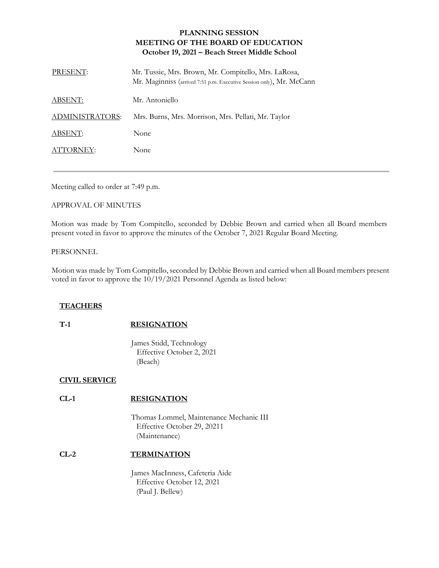# **PLANNING SESSION MEETING OF THE BOARD OF EDUCATION October 19, 2021 – Beach Street Middle School**

| PRESENT:         | Mr. Tussie, Mrs. Brown, Mr. Compitello, Mrs. LaRosa,<br>Mr. Maginniss (arrived 7:51 p.m. Executive Session only), Mr. McCann |
|------------------|------------------------------------------------------------------------------------------------------------------------------|
| ABSENT:          | Mr. Antoniello                                                                                                               |
| ADMINISTRATORS:  | Mrs. Burns, Mrs. Morrison, Mrs. Pellati, Mr. Taylor                                                                          |
| <b>ABSENT:</b>   | None                                                                                                                         |
| <b>ATTORNEY:</b> | None                                                                                                                         |

Meeting called to order at 7:49 p.m.

## APPROVAL OF MINUTES

Motion was made by Tom Compitello, seconded by Debbie Brown and carried when all Board members present voted in favor to approve the minutes of the October 7, 2021 Regular Board Meeting.

### PERSONNEL

Motion was made by Tom Compitello, seconded by Debbie Brown and carried when all Board members present voted in favor to approve the 10/19/2021 Personnel Agenda as listed below:

# **TEACHERS**

## **T-1 RESIGNATION**

James Stidd, Technology Effective October 2, 2021 (Beach)

## **CIVIL SERVICE**

# **CL-1 RESIGNATION**

Thomas Lommel, Maintenance Mechanic III Effective October 29, 20211 (Maintenance)

# **CL-2 TERMINATION**

James MacInness, Cafeteria Aide Effective October 12, 2021 (Paul J. Bellew)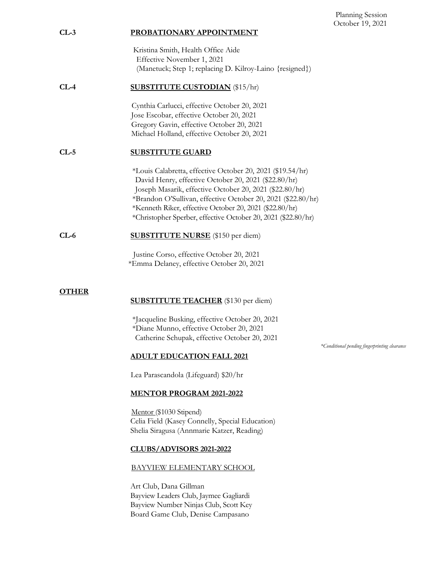Planning Session October 19, 2021

| CL-3         | <b>PROBATIONARY APPOINTMENT</b>                                                                                                                                                                                                                                                                                                                                           |  |
|--------------|---------------------------------------------------------------------------------------------------------------------------------------------------------------------------------------------------------------------------------------------------------------------------------------------------------------------------------------------------------------------------|--|
|              | Kristina Smith, Health Office Aide<br>Effective November 1, 2021<br>(Manetuck; Step 1; replacing D. Kilroy-Laino {resigned})                                                                                                                                                                                                                                              |  |
| $CL-4$       | <b>SUBSTITUTE CUSTODIAN</b> (\$15/hr)                                                                                                                                                                                                                                                                                                                                     |  |
|              | Cynthia Carlucci, effective October 20, 2021<br>Jose Escobar, effective October 20, 2021<br>Gregory Gavin, effective October 20, 2021<br>Michael Holland, effective October 20, 2021                                                                                                                                                                                      |  |
| $CL-5$       | <b>SUBSTITUTE GUARD</b>                                                                                                                                                                                                                                                                                                                                                   |  |
|              | *Louis Calabretta, effective October 20, 2021 (\$19.54/hr)<br>David Henry, effective October 20, 2021 (\$22.80/hr)<br>Joseph Masarik, effective October 20, 2021 (\$22.80/hr)<br>*Brandon O'Sullivan, effective October 20, 2021 (\$22.80/hr)<br>*Kenneth Riker, effective October 20, 2021 (\$22.80/hr)<br>*Christopher Sperber, effective October 20, 2021 (\$22.80/hr) |  |
| CL-6         | <b>SUBSTITUTE NURSE</b> (\$150 per diem)                                                                                                                                                                                                                                                                                                                                  |  |
|              | Justine Corso, effective October 20, 2021<br>*Emma Delaney, effective October 20, 2021                                                                                                                                                                                                                                                                                    |  |
| <b>OTHER</b> | <b>SUBSTITUTE TEACHER</b> (\$130 per diem)                                                                                                                                                                                                                                                                                                                                |  |
|              | *Jacqueline Busking, effective October 20, 2021<br>*Diane Munno, effective October 20, 2021<br>Catherine Schupak, effective October 20, 2021                                                                                                                                                                                                                              |  |
|              | $*Co$<br><b>ADULT EDUCATION FALL 2021</b>                                                                                                                                                                                                                                                                                                                                 |  |
|              |                                                                                                                                                                                                                                                                                                                                                                           |  |

Lea Parascandola (Lifeguard) \$20/hr

# **MENTOR PROGRAM 2021-2022**

Mentor (\$1030 Stipend) Celia Field (Kasey Connelly, Special Education) Shelia Siragusa (Annmarie Katzer, Reading)

# **CLUBS/ADVISORS 2021-2022**

# BAYVIEW ELEMENTARY SCHOOL

Art Club, Dana Gillman Bayview Leaders Club, Jaymee Gagliardi Bayview Number Ninjas Club, Scott Key Board Game Club, Denise Campasano

 *\*Conditional pending fingerprinting clearance*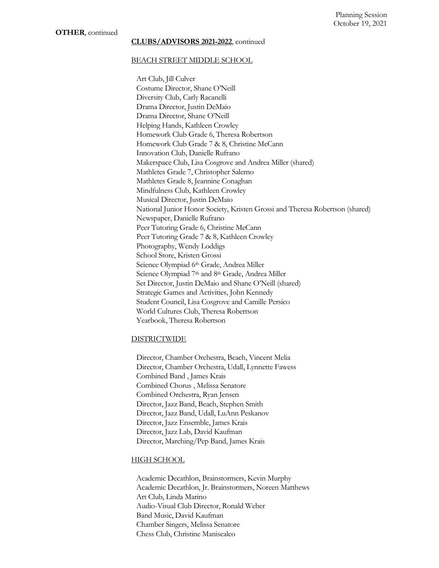## **CLUBS/ADVISORS 2021-2022**, continued

#### BEACH STREET MIDDLE SCHOOL

Art Club, Jill Culver Costume Director, Shane O'Neill Diversity Club, Carly Racanelli Drama Director, Justin DeMaio Drama Director, Shane O'Neill Helping Hands, Kathleen Crowley Homework Club Grade 6, Theresa Robertson Homework Club Grade 7 & 8, Christine McCann Innovation Club, Danielle Rufrano Makerspace Club, Lisa Cosgrove and Andrea Miller (shared) Mathletes Grade 7, Christopher Salerno Mathletes Grade 8, Jeannine Conaghan Mindfulness Club, Kathleen Crowley Musical Director, Justin DeMaio National Junior Honor Society, Kristen Grossi and Theresa Robertson (shared) Newspaper, Danielle Rufrano Peer Tutoring Grade 6, Christine McCann Peer Tutoring Grade 7 & 8, Kathleen Crowley Photography, Wendy Loddigs School Store, Kristen Grossi Science Olympiad 6th Grade, Andrea Miller Science Olympiad 7<sup>th</sup> and 8<sup>th</sup> Grade, Andrea Miller Set Director, Justin DeMaio and Shane O'Neill (shared) Strategic Games and Activities, John Kennedy Student Council, Lisa Cosgrove and Camille Persico World Cultures Club, Theresa Robertson Yearbook, Theresa Robertson

### **DISTRICTWIDE**

Director, Chamber Orchestra, Beach, Vincent Melia Director, Chamber Orchestra, Udall, Lynnette Fawess Combined Band , James Krais Combined Chorus , Melissa Senatore Combined Orchestra, Ryan Jensen Director, Jazz Band, Beach, Stephen Smith Director, Jazz Band, Udall, LuAnn Peskanov Director, Jazz Ensemble, James Krais Director, Jazz Lab, David Kaufman Director, Marching/Pep Band, James Krais

### HIGH SCHOOL

Academic Decathlon, Brainstormers, Kevin Murphy Academic Decathlon, Jr. Brainstormers, Noreen Matthews Art Club, Linda Marino Audio-Visual Club Director, Ronald Weber Band Music, David Kaufman Chamber Singers, Melissa Senatore Chess Club, Christine Maniscalco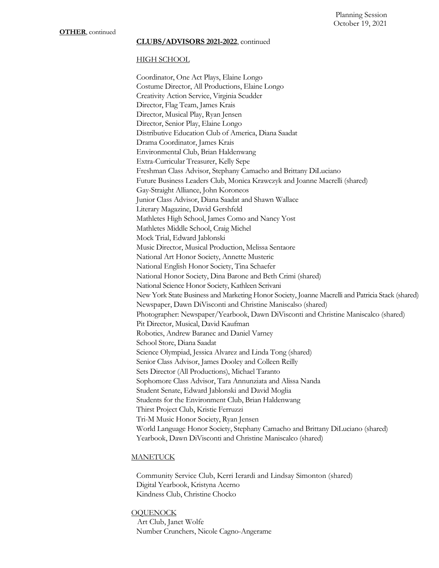## **CLUBS/ADVISORS 2021-2022**, continued

### HIGH SCHOOL

Coordinator, One Act Plays, Elaine Longo Costume Director, All Productions, Elaine Longo Creativity Action Service, Virginia Scudder Director, Flag Team, James Krais Director, Musical Play, Ryan Jensen Director, Senior Play, Elaine Longo Distributive Education Club of America, Diana Saadat Drama Coordinator, James Krais Environmental Club, Brian Haldenwang Extra-Curricular Treasurer, Kelly Sepe Freshman Class Advisor, Stephany Camacho and Brittany DiLuciano Future Business Leaders Club, Monica Krawczyk and Joanne Macrelli (shared) Gay-Straight Alliance, John Koroneos Junior Class Advisor, Diana Saadat and Shawn Wallace Literary Magazine, David Gershfeld Mathletes High School, James Como and Nancy Yost Mathletes Middle School, Craig Michel Mock Trial, Edward Jablonski Music Director, Musical Production, Melissa Sentaore National Art Honor Society, Annette Musteric National English Honor Society, Tina Schaefer National Honor Society, Dina Barone and Beth Crimi (shared) National Science Honor Society, Kathleen Scrivani New York State Business and Marketing Honor Society, Joanne Macrelli and Patricia Stack (shared) Newspaper, Dawn DiVisconti and Christine Maniscalso (shared) Photographer: Newspaper/Yearbook, Dawn DiVisconti and Christine Maniscalco (shared) Pit Director, Musical, David Kaufman Robotics, Andrew Baranec and Daniel Varney School Store, Diana Saadat Science Olympiad, Jessica Alvarez and Linda Tong (shared) Senior Class Advisor, James Dooley and Colleen Reilly Sets Director (All Productions), Michael Taranto Sophomore Class Advisor, Tara Annunziata and Alissa Nanda Student Senate, Edward Jablonski and David Moglia Students for the Environment Club, Brian Haldenwang Thirst Project Club, Kristie Ferruzzi Tri-M Music Honor Society, Ryan Jensen World Language Honor Society, Stephany Camacho and Brittany DiLuciano (shared) Yearbook, Dawn DiVisconti and Christine Maniscalco (shared)

## **MANETUCK**

Community Service Club, Kerri Ierardi and Lindsay Simonton (shared) Digital Yearbook, Kristyna Acerno Kindness Club, Christine Chocko

## **OQUENOCK**

 Art Club, Janet Wolfe Number Crunchers, Nicole Cagno-Angerame